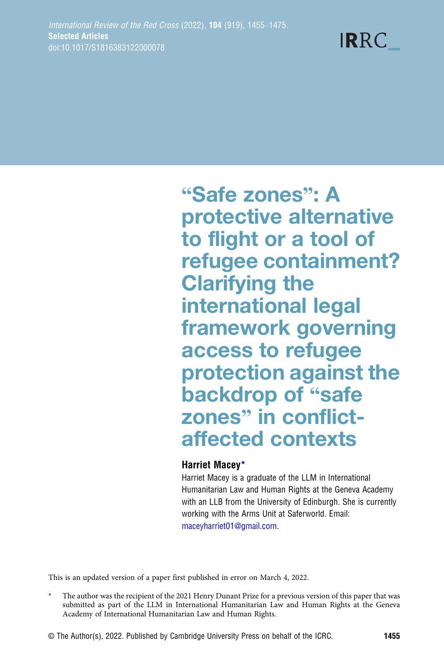# "Safe zones": A protective alternative to flight or a tool of refugee containment? Clarifying the international legal framework governing access to refugee protection against the backdrop of "safe zones" in conflictaffected contexts

**IRRC** 

## Harriet Macey\*

Harriet Macey is a graduate of the LLM in International Humanitarian Law and Human Rights at the Geneva Academy with an LLB from the University of Edinburgh. She is currently working with the Arms Unit at Saferworld. Email: [maceyharriet01@gmail.com](mailto:maceyharriet01@gmail.com).

This is an updated version of a paper first published in error on March 4, 2022.

- The author was the recipient of the 2021 Henry Dunant Prize for a previous version of this paper that was submitted as part of the LLM in International Humanitarian Law and Human Rights at the Geneva Academy of International Humanitarian Law and Human Rights.
- © The Author(s), 2022. Published by Cambridge University Press on behalf of the ICRC. 1455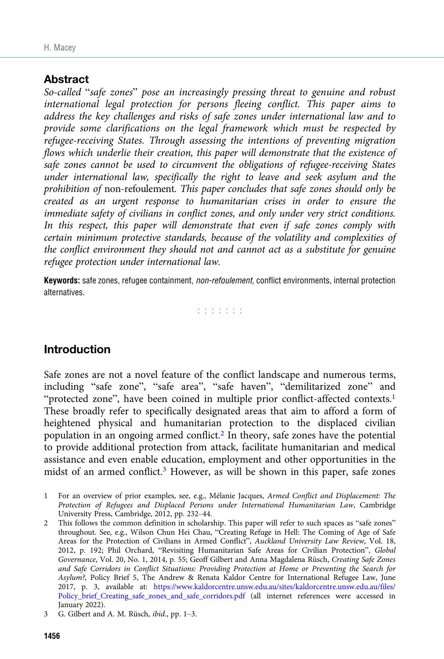## **Abstract**

So-called "safe zones" pose an increasingly pressing threat to genuine and robust international legal protection for persons fleeing conflict. This paper aims to address the key challenges and risks of safe zones under international law and to provide some clarifications on the legal framework which must be respected by refugee-receiving States. Through assessing the intentions of preventing migration flows which underlie their creation, this paper will demonstrate that the existence of safe zones cannot be used to circumvent the obligations of refugee-receiving States under international law, specifically the right to leave and seek asylum and the prohibition of non-refoulement. This paper concludes that safe zones should only be created as an urgent response to humanitarian crises in order to ensure the immediate safety of civilians in conflict zones, and only under very strict conditions. In this respect, this paper will demonstrate that even if safe zones comply with certain minimum protective standards, because of the volatility and complexities of the conflict environment they should not and cannot act as a substitute for genuine refugee protection under international law.

Keywords: safe zones, refugee containment, non-refoulement, conflict environments, internal protection alternatives.

a a a a a a a

## Introduction

Safe zones are not a novel feature of the conflict landscape and numerous terms, including "safe zone", "safe area", "safe haven", "demilitarized zone" and "protected zone", have been coined in multiple prior conflict-affected contexts.<sup>1</sup> These broadly refer to specifically designated areas that aim to afford a form of heightened physical and humanitarian protection to the displaced civilian population in an ongoing armed conflict.<sup>2</sup> In theory, safe zones have the potential to provide additional protection from attack, facilitate humanitarian and medical assistance and even enable education, employment and other opportunities in the midst of an armed conflict.<sup>3</sup> However, as will be shown in this paper, safe zones

- 1 For an overview of prior examples, see, e.g., Mélanie Jacques, Armed Conflict and Displacement: The Protection of Refugees and Displaced Persons under International Humanitarian Law, Cambridge University Press, Cambridge, 2012, pp. 232–44.
- 2 This follows the common definition in scholarship. This paper will refer to such spaces as "safe zones" throughout. See, e.g., Wilson Chun Hei Chau, "Creating Refuge in Hell: The Coming of Age of Safe Areas for the Protection of Civilians in Armed Conflict", Auckland University Law Review, Vol. 18, 2012, p. 192; Phil Orchard, "Revisiting Humanitarian Safe Areas for Civilian Protection", Global Governance, Vol. 20, No. 1, 2014, p. 55; Geoff Gilbert and Anna Magdalena Rüsch, Creating Safe Zones and Safe Corridors in Conflict Situations: Providing Protection at Home or Preventing the Search for Asylum?, Policy Brief 5, The Andrew & Renata Kaldor Centre for International Refugee Law, June 2017, p. 3, available at: [https://www.kaldorcentre.unsw.edu.au/sites/kaldorcentre.unsw.edu.au/files/](https://www.kaldorcentre.unsw.edu.au/sites/kaldorcentre.unsw.edu.au/files/Policy_brief_Creating_safe_zones_and_safe_corridors.pdf) [Policy\\_brief\\_Creating\\_safe\\_zones\\_and\\_safe\\_corridors.pdf](https://www.kaldorcentre.unsw.edu.au/sites/kaldorcentre.unsw.edu.au/files/Policy_brief_Creating_safe_zones_and_safe_corridors.pdf) (all internet references were accessed in January 2022).
- 3 G. Gilbert and A. M. Rüsch, ibid., pp. 1–3.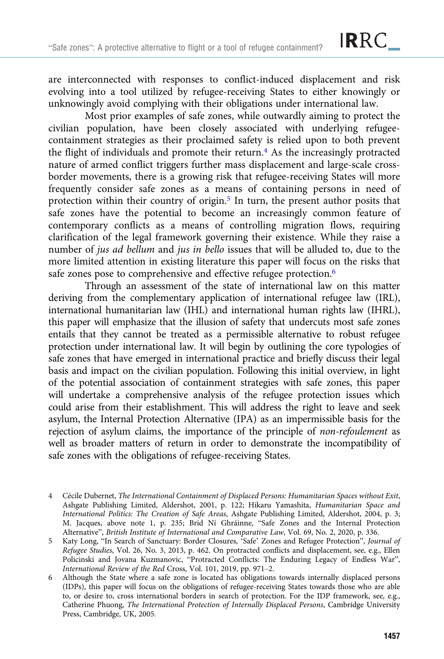are interconnected with responses to conflict-induced displacement and risk evolving into a tool utilized by refugee-receiving States to either knowingly or unknowingly avoid complying with their obligations under international law.

Most prior examples of safe zones, while outwardly aiming to protect the civilian population, have been closely associated with underlying refugeecontainment strategies as their proclaimed safety is relied upon to both prevent the flight of individuals and promote their return. $4$  As the increasingly protracted nature of armed conflict triggers further mass displacement and large-scale crossborder movements, there is a growing risk that refugee-receiving States will more frequently consider safe zones as a means of containing persons in need of protection within their country of origin.<sup>5</sup> In turn, the present author posits that safe zones have the potential to become an increasingly common feature of contemporary conflicts as a means of controlling migration flows, requiring clarification of the legal framework governing their existence. While they raise a number of *jus ad bellum* and *jus in bello* issues that will be alluded to, due to the more limited attention in existing literature this paper will focus on the risks that safe zones pose to comprehensive and effective refugee protection.<sup>6</sup>

Through an assessment of the state of international law on this matter deriving from the complementary application of international refugee law (IRL), international humanitarian law (IHL) and international human rights law (IHRL), this paper will emphasize that the illusion of safety that undercuts most safe zones entails that they cannot be treated as a permissible alternative to robust refugee protection under international law. It will begin by outlining the core typologies of safe zones that have emerged in international practice and briefly discuss their legal basis and impact on the civilian population. Following this initial overview, in light of the potential association of containment strategies with safe zones, this paper will undertake a comprehensive analysis of the refugee protection issues which could arise from their establishment. This will address the right to leave and seek asylum, the Internal Protection Alternative (IPA) as an impermissible basis for the rejection of asylum claims, the importance of the principle of non-refoulement as well as broader matters of return in order to demonstrate the incompatibility of safe zones with the obligations of refugee-receiving States.

- 4 Cécile Dubernet, The International Containment of Displaced Persons: Humanitarian Spaces without Exit, Ashgate Publishing Limited, Aldershot, 2001, p. 122; Hikaru Yamashita, Humanitarian Space and International Politics: The Creation of Safe Areas, Ashgate Publishing Limited, Aldershot, 2004, p. 3; M. Jacques, above note 1, p. 235; Bríd Ní Ghráinne, "Safe Zones and the Internal Protection Alternative", British Institute of International and Comparative Law, Vol. 69, No. 2, 2020, p. 336.
- 5 Katy Long, "In Search of Sanctuary: Border Closures, 'Safe' Zones and Refugee Protection", Journal of Refugee Studies, Vol. 26, No. 3, 2013, p. 462. On protracted conflicts and displacement, see, e.g., Ellen Policinski and Jovana Kuzmanovic, "Protracted Conflicts: The Enduring Legacy of Endless War", International Review of the Red Cross, Vol. 101, 2019, pp. 971–2.
- 6 Although the State where a safe zone is located has obligations towards internally displaced persons (IDPs), this paper will focus on the obligations of refugee-receiving States towards those who are able to, or desire to, cross international borders in search of protection. For the IDP framework, see, e.g., Catherine Phuong, The International Protection of Internally Displaced Persons, Cambridge University Press, Cambridge, UK, 2005.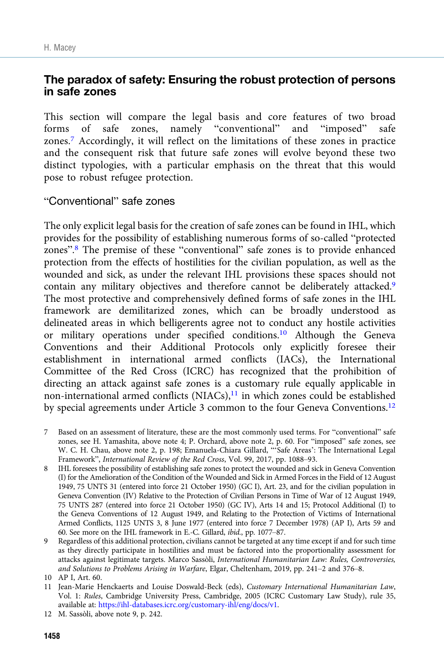## The paradox of safety: Ensuring the robust protection of persons in safe zones

This section will compare the legal basis and core features of two broad forms of safe zones, namely "conventional" and "imposed" safe zones.<sup>7</sup> Accordingly, it will reflect on the limitations of these zones in practice and the consequent risk that future safe zones will evolve beyond these two distinct typologies, with a particular emphasis on the threat that this would pose to robust refugee protection.

#### "Conventional" safe zones

The only explicit legal basis for the creation of safe zones can be found in IHL, which provides for the possibility of establishing numerous forms of so-called "protected zones".<sup>8</sup> The premise of these "conventional" safe zones is to provide enhanced protection from the effects of hostilities for the civilian population, as well as the wounded and sick, as under the relevant IHL provisions these spaces should not contain any military objectives and therefore cannot be deliberately attacked.<sup>9</sup> The most protective and comprehensively defined forms of safe zones in the IHL framework are demilitarized zones, which can be broadly understood as delineated areas in which belligerents agree not to conduct any hostile activities or military operations under specified conditions.10 Although the Geneva Conventions and their Additional Protocols only explicitly foresee their establishment in international armed conflicts (IACs), the International Committee of the Red Cross (ICRC) has recognized that the prohibition of directing an attack against safe zones is a customary rule equally applicable in non-international armed conflicts  $(NIACs),<sup>11</sup>$  in which zones could be established by special agreements under Article 3 common to the four Geneva Conventions.<sup>12</sup>

- 7 Based on an assessment of literature, these are the most commonly used terms. For "conventional" safe zones, see H. Yamashita, above note 4; P. Orchard, above note 2, p. 60. For "imposed" safe zones, see W. C. H. Chau, above note 2, p. 198; Emanuela-Chiara Gillard, "'Safe Areas': The International Legal Framework", International Review of the Red Cross, Vol. 99, 2017, pp. 1088–93.
- 8 IHL foresees the possibility of establishing safe zones to protect the wounded and sick in Geneva Convention (I) for the Amelioration of the Condition of the Wounded and Sick in Armed Forces in the Field of 12 August 1949, 75 UNTS 31 (entered into force 21 October 1950) (GC I), Art. 23, and for the civilian population in Geneva Convention (IV) Relative to the Protection of Civilian Persons in Time of War of 12 August 1949, 75 UNTS 287 (entered into force 21 October 1950) (GC IV), Arts 14 and 15; Protocol Additional (I) to the Geneva Conventions of 12 August 1949, and Relating to the Protection of Victims of International Armed Conflicts, 1125 UNTS 3, 8 June 1977 (entered into force 7 December 1978) (AP I), Arts 59 and 60. See more on the IHL framework in E.-C. Gillard, ibid., pp. 1077–87.
- 9 Regardless of this additional protection, civilians cannot be targeted at any time except if and for such time as they directly participate in hostilities and must be factored into the proportionality assessment for attacks against legitimate targets. Marco Sassòli, International Humanitarian Law: Rules, Controversies, and Solutions to Problems Arising in Warfare, Elgar, Cheltenham, 2019, pp. 241–2 and 376–8.

<sup>10</sup> AP I, Art. 60.

<sup>11</sup> Jean-Marie Henckaerts and Louise Doswald-Beck (eds), Customary International Humanitarian Law, Vol. 1: Rules, Cambridge University Press, Cambridge, 2005 (ICRC Customary Law Study), rule 35, available at: <https://ihl-databases.icrc.org/customary-ihl/eng/docs/v1>.

<sup>12</sup> M. Sassòli, above note 9, p. 242.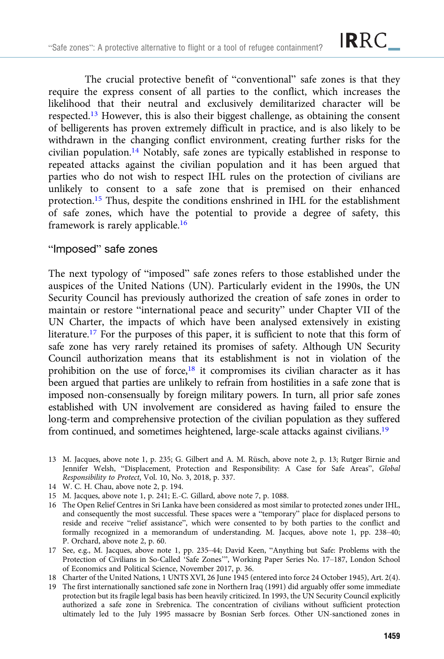The crucial protective benefit of "conventional" safe zones is that they require the express consent of all parties to the conflict, which increases the likelihood that their neutral and exclusively demilitarized character will be respected.<sup>13</sup> However, this is also their biggest challenge, as obtaining the consent of belligerents has proven extremely difficult in practice, and is also likely to be withdrawn in the changing conflict environment, creating further risks for the civilian population.14 Notably, safe zones are typically established in response to repeated attacks against the civilian population and it has been argued that parties who do not wish to respect IHL rules on the protection of civilians are unlikely to consent to a safe zone that is premised on their enhanced protection.15 Thus, despite the conditions enshrined in IHL for the establishment of safe zones, which have the potential to provide a degree of safety, this framework is rarely applicable.16

#### "Imposed" safe zones

The next typology of "imposed" safe zones refers to those established under the auspices of the United Nations (UN). Particularly evident in the 1990s, the UN Security Council has previously authorized the creation of safe zones in order to maintain or restore "international peace and security" under Chapter VII of the UN Charter, the impacts of which have been analysed extensively in existing literature.<sup>17</sup> For the purposes of this paper, it is sufficient to note that this form of safe zone has very rarely retained its promises of safety. Although UN Security Council authorization means that its establishment is not in violation of the prohibition on the use of force,18 it compromises its civilian character as it has been argued that parties are unlikely to refrain from hostilities in a safe zone that is imposed non-consensually by foreign military powers. In turn, all prior safe zones established with UN involvement are considered as having failed to ensure the long-term and comprehensive protection of the civilian population as they suffered from continued, and sometimes heightened, large-scale attacks against civilians.<sup>19</sup>

- 13 M. Jacques, above note 1, p. 235; G. Gilbert and A. M. Rüsch, above note 2, p. 13; Rutger Birnie and Jennifer Welsh, "Displacement, Protection and Responsibility: A Case for Safe Areas", Global Responsibility to Protect, Vol. 10, No. 3, 2018, p. 337.
- 14 W. C. H. Chau, above note 2, p. 194.
- 15 M. Jacques, above note 1, p. 241; E.-C. Gillard, above note 7, p. 1088.
- 16 The Open Relief Centres in Sri Lanka have been considered as most similar to protected zones under IHL, and consequently the most successful. These spaces were a "temporary" place for displaced persons to reside and receive "relief assistance", which were consented to by both parties to the conflict and formally recognized in a memorandum of understanding. M. Jacques, above note 1, pp. 238–40; P. Orchard, above note 2, p. 60.
- 17 See, e.g., M. Jacques, above note 1, pp. 235–44; David Keen, "Anything but Safe: Problems with the Protection of Civilians in So-Called 'Safe Zones'", Working Paper Series No. 17–187, London School of Economics and Political Science, November 2017, p. 36.
- 18 Charter of the United Nations, 1 UNTS XVI, 26 June 1945 (entered into force 24 October 1945), Art. 2(4).
- 19 The first internationally sanctioned safe zone in Northern Iraq (1991) did arguably offer some immediate protection but its fragile legal basis has been heavily criticized. In 1993, the UN Security Council explicitly authorized a safe zone in Srebrenica. The concentration of civilians without sufficient protection ultimately led to the July 1995 massacre by Bosnian Serb forces. Other UN-sanctioned zones in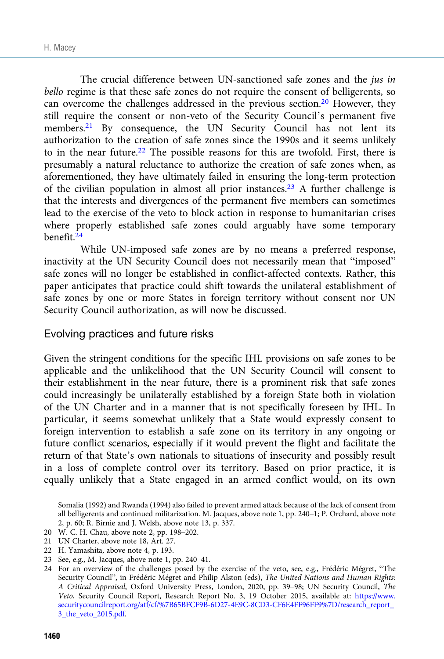The crucial difference between UN-sanctioned safe zones and the jus in bello regime is that these safe zones do not require the consent of belligerents, so can overcome the challenges addressed in the previous section.<sup>20</sup> However, they still require the consent or non-veto of the Security Council's permanent five members.<sup>21</sup> By consequence, the UN Security Council has not lent its authorization to the creation of safe zones since the 1990s and it seems unlikely to in the near future.22 The possible reasons for this are twofold. First, there is presumably a natural reluctance to authorize the creation of safe zones when, as aforementioned, they have ultimately failed in ensuring the long-term protection of the civilian population in almost all prior instances.23 A further challenge is that the interests and divergences of the permanent five members can sometimes lead to the exercise of the veto to block action in response to humanitarian crises where properly established safe zones could arguably have some temporary benefit. $24$ 

While UN-imposed safe zones are by no means a preferred response, inactivity at the UN Security Council does not necessarily mean that "imposed" safe zones will no longer be established in conflict-affected contexts. Rather, this paper anticipates that practice could shift towards the unilateral establishment of safe zones by one or more States in foreign territory without consent nor UN Security Council authorization, as will now be discussed.

Evolving practices and future risks

Given the stringent conditions for the specific IHL provisions on safe zones to be applicable and the unlikelihood that the UN Security Council will consent to their establishment in the near future, there is a prominent risk that safe zones could increasingly be unilaterally established by a foreign State both in violation of the UN Charter and in a manner that is not specifically foreseen by IHL. In particular, it seems somewhat unlikely that a State would expressly consent to foreign intervention to establish a safe zone on its territory in any ongoing or future conflict scenarios, especially if it would prevent the flight and facilitate the return of that State's own nationals to situations of insecurity and possibly result in a loss of complete control over its territory. Based on prior practice, it is equally unlikely that a State engaged in an armed conflict would, on its own

Somalia (1992) and Rwanda (1994) also failed to prevent armed attack because of the lack of consent from all belligerents and continued militarization. M. Jacques, above note 1, pp. 240–1; P. Orchard, above note 2, p. 60; R. Birnie and J. Welsh, above note 13, p. 337.

- 20 W. C. H. Chau, above note 2, pp. 198–202.
- 21 UN Charter, above note 18, Art. 27.
- 22 H. Yamashita, above note 4, p. 193.
- 23 See, e.g., M. Jacques, above note 1, pp. 240–41.

<sup>24</sup> For an overview of the challenges posed by the exercise of the veto, see, e.g., Frédéric Mégret, "The Security Council", in Frédéric Mégret and Philip Alston (eds), The United Nations and Human Rights: A Critical Appraisal, Oxford University Press, London, 2020, pp. 39–98; UN Security Council, The Veto, Security Council Report, Research Report No. 3, 19 October 2015, available at: [https://www.](https://www.securitycouncilreport.org/atf/cf/%7B65BFCF9B-6D27-4E9C-8CD3-CF6E4FF96FF9%7D/research_report_3_the_veto_2015.pdf) [securitycouncilreport.org/atf/cf/%7B65BFCF9B-6D27-4E9C-8CD3-CF6E4FF96FF9%7D/research\\_report\\_](https://www.securitycouncilreport.org/atf/cf/%7B65BFCF9B-6D27-4E9C-8CD3-CF6E4FF96FF9%7D/research_report_3_the_veto_2015.pdf) [3\\_the\\_veto\\_2015.pdf](https://www.securitycouncilreport.org/atf/cf/%7B65BFCF9B-6D27-4E9C-8CD3-CF6E4FF96FF9%7D/research_report_3_the_veto_2015.pdf).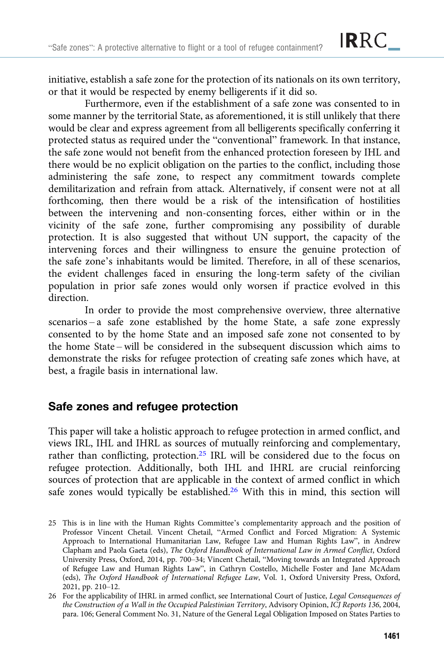initiative, establish a safe zone for the protection of its nationals on its own territory, or that it would be respected by enemy belligerents if it did so.

Furthermore, even if the establishment of a safe zone was consented to in some manner by the territorial State, as aforementioned, it is still unlikely that there would be clear and express agreement from all belligerents specifically conferring it protected status as required under the "conventional" framework. In that instance, the safe zone would not benefit from the enhanced protection foreseen by IHL and there would be no explicit obligation on the parties to the conflict, including those administering the safe zone, to respect any commitment towards complete demilitarization and refrain from attack. Alternatively, if consent were not at all forthcoming, then there would be a risk of the intensification of hostilities between the intervening and non-consenting forces, either within or in the vicinity of the safe zone, further compromising any possibility of durable protection. It is also suggested that without UN support, the capacity of the intervening forces and their willingness to ensure the genuine protection of the safe zone's inhabitants would be limited. Therefore, in all of these scenarios, the evident challenges faced in ensuring the long-term safety of the civilian population in prior safe zones would only worsen if practice evolved in this direction.

In order to provide the most comprehensive overview, three alternative scenarios – a safe zone established by the home State, a safe zone expressly consented to by the home State and an imposed safe zone not consented to by the home State – will be considered in the subsequent discussion which aims to demonstrate the risks for refugee protection of creating safe zones which have, at best, a fragile basis in international law.

## Safe zones and refugee protection

This paper will take a holistic approach to refugee protection in armed conflict, and views IRL, IHL and IHRL as sources of mutually reinforcing and complementary, rather than conflicting, protection.25 IRL will be considered due to the focus on refugee protection. Additionally, both IHL and IHRL are crucial reinforcing sources of protection that are applicable in the context of armed conflict in which safe zones would typically be established.26 With this in mind, this section will

<sup>25</sup> This is in line with the Human Rights Committee's complementarity approach and the position of Professor Vincent Chetail. Vincent Chetail, "Armed Conflict and Forced Migration: A Systemic Approach to International Humanitarian Law, Refugee Law and Human Rights Law", in Andrew Clapham and Paola Gaeta (eds), The Oxford Handbook of International Law in Armed Conflict, Oxford University Press, Oxford, 2014, pp. 700–34; Vincent Chetail, "Moving towards an Integrated Approach of Refugee Law and Human Rights Law", in Cathryn Costello, Michelle Foster and Jane McAdam (eds), The Oxford Handbook of International Refugee Law, Vol. 1, Oxford University Press, Oxford, 2021, pp. 210–12.

<sup>26</sup> For the applicability of IHRL in armed conflict, see International Court of Justice, Legal Consequences of the Construction of a Wall in the Occupied Palestinian Territory, Advisory Opinion, ICJ Reports 136, 2004, para. 106; General Comment No. 31, Nature of the General Legal Obligation Imposed on States Parties to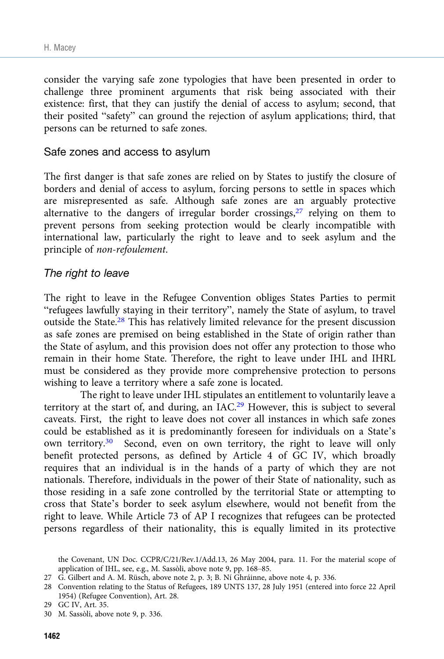consider the varying safe zone typologies that have been presented in order to challenge three prominent arguments that risk being associated with their existence: first, that they can justify the denial of access to asylum; second, that their posited "safety" can ground the rejection of asylum applications; third, that persons can be returned to safe zones.

#### Safe zones and access to asylum

The first danger is that safe zones are relied on by States to justify the closure of borders and denial of access to asylum, forcing persons to settle in spaces which are misrepresented as safe. Although safe zones are an arguably protective alternative to the dangers of irregular border crossings, $27$  relying on them to prevent persons from seeking protection would be clearly incompatible with international law, particularly the right to leave and to seek asylum and the principle of non-refoulement.

#### The right to leave

The right to leave in the Refugee Convention obliges States Parties to permit "refugees lawfully staying in their territory", namely the State of asylum, to travel outside the State.28 This has relatively limited relevance for the present discussion as safe zones are premised on being established in the State of origin rather than the State of asylum, and this provision does not offer any protection to those who remain in their home State. Therefore, the right to leave under IHL and IHRL must be considered as they provide more comprehensive protection to persons wishing to leave a territory where a safe zone is located.

The right to leave under IHL stipulates an entitlement to voluntarily leave a territory at the start of, and during, an IAC.29 However, this is subject to several caveats. First, the right to leave does not cover all instances in which safe zones could be established as it is predominantly foreseen for individuals on a State's own territory.30 Second, even on own territory, the right to leave will only benefit protected persons, as defined by Article 4 of GC IV, which broadly requires that an individual is in the hands of a party of which they are not nationals. Therefore, individuals in the power of their State of nationality, such as those residing in a safe zone controlled by the territorial State or attempting to cross that State's border to seek asylum elsewhere, would not benefit from the right to leave. While Article 73 of AP I recognizes that refugees can be protected persons regardless of their nationality, this is equally limited in its protective

the Covenant, UN Doc. CCPR/C/21/Rev.1/Add.13, 26 May 2004, para. 11. For the material scope of application of IHL, see, e.g., M. Sassòli, above note 9, pp. 168–85.

<sup>27</sup> G. Gilbert and A. M. Rüsch, above note 2, p. 3; B. Ní Ghráinne, above note 4, p. 336.

<sup>28</sup> Convention relating to the Status of Refugees, 189 UNTS 137, 28 July 1951 (entered into force 22 April 1954) (Refugee Convention), Art. 28.

<sup>29</sup> GC IV, Art. 35.

<sup>30</sup> M. Sassòli, above note 9, p. 336.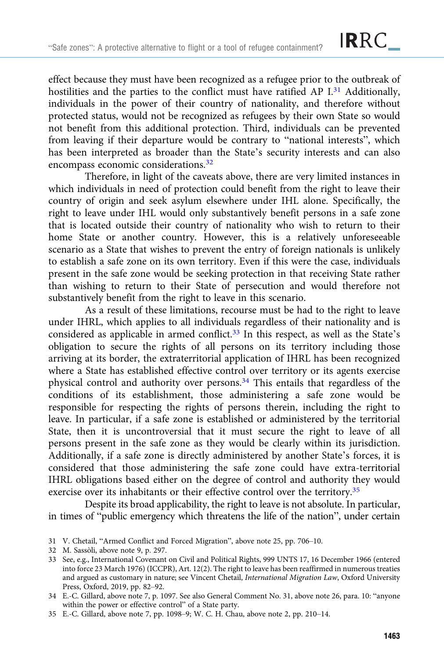effect because they must have been recognized as a refugee prior to the outbreak of hostilities and the parties to the conflict must have ratified AP I.<sup>31</sup> Additionally, individuals in the power of their country of nationality, and therefore without protected status, would not be recognized as refugees by their own State so would not benefit from this additional protection. Third, individuals can be prevented from leaving if their departure would be contrary to "national interests", which has been interpreted as broader than the State's security interests and can also encompass economic considerations.<sup>32</sup>

Therefore, in light of the caveats above, there are very limited instances in which individuals in need of protection could benefit from the right to leave their country of origin and seek asylum elsewhere under IHL alone. Specifically, the right to leave under IHL would only substantively benefit persons in a safe zone that is located outside their country of nationality who wish to return to their home State or another country. However, this is a relatively unforeseeable scenario as a State that wishes to prevent the entry of foreign nationals is unlikely to establish a safe zone on its own territory. Even if this were the case, individuals present in the safe zone would be seeking protection in that receiving State rather than wishing to return to their State of persecution and would therefore not substantively benefit from the right to leave in this scenario.

As a result of these limitations, recourse must be had to the right to leave under IHRL, which applies to all individuals regardless of their nationality and is considered as applicable in armed conflict.<sup>33</sup> In this respect, as well as the State's obligation to secure the rights of all persons on its territory including those arriving at its border, the extraterritorial application of IHRL has been recognized where a State has established effective control over territory or its agents exercise physical control and authority over persons.34 This entails that regardless of the conditions of its establishment, those administering a safe zone would be responsible for respecting the rights of persons therein, including the right to leave. In particular, if a safe zone is established or administered by the territorial State, then it is uncontroversial that it must secure the right to leave of all persons present in the safe zone as they would be clearly within its jurisdiction. Additionally, if a safe zone is directly administered by another State's forces, it is considered that those administering the safe zone could have extra-territorial IHRL obligations based either on the degree of control and authority they would exercise over its inhabitants or their effective control over the territory.35

Despite its broad applicability, the right to leave is not absolute. In particular, in times of "public emergency which threatens the life of the nation", under certain

<sup>31</sup> V. Chetail, "Armed Conflict and Forced Migration", above note 25, pp. 706–10.

<sup>32</sup> M. Sassòli, above note 9, p. 297.

<sup>33</sup> See, e.g., International Covenant on Civil and Political Rights, 999 UNTS 17, 16 December 1966 (entered into force 23 March 1976) (ICCPR), Art. 12(2). The right to leave has been reaffirmed in numerous treaties and argued as customary in nature; see Vincent Chetail, International Migration Law, Oxford University Press, Oxford, 2019, pp. 82–92.

<sup>34</sup> E.-C. Gillard, above note 7, p. 1097. See also General Comment No. 31, above note 26, para. 10: "anyone within the power or effective control" of a State party.

<sup>35</sup> E.-C. Gillard, above note 7, pp. 1098–9; W. C. H. Chau, above note 2, pp. 210–14.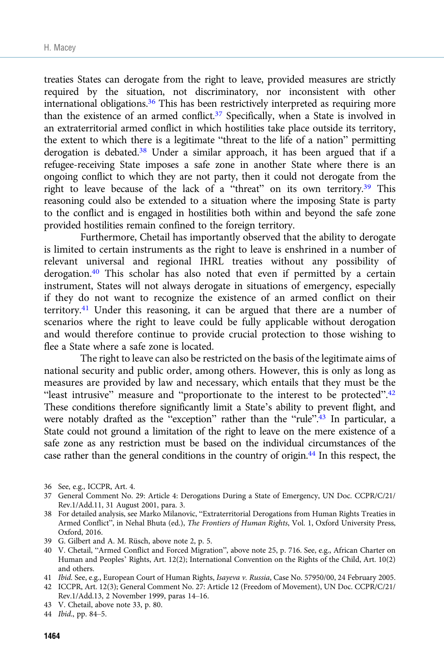treaties States can derogate from the right to leave, provided measures are strictly required by the situation, not discriminatory, nor inconsistent with other international obligations.36 This has been restrictively interpreted as requiring more than the existence of an armed conflict.37 Specifically, when a State is involved in an extraterritorial armed conflict in which hostilities take place outside its territory, the extent to which there is a legitimate "threat to the life of a nation" permitting derogation is debated.38 Under a similar approach, it has been argued that if a refugee-receiving State imposes a safe zone in another State where there is an ongoing conflict to which they are not party, then it could not derogate from the right to leave because of the lack of a "threat" on its own territory.<sup>39</sup> This reasoning could also be extended to a situation where the imposing State is party to the conflict and is engaged in hostilities both within and beyond the safe zone provided hostilities remain confined to the foreign territory.

Furthermore, Chetail has importantly observed that the ability to derogate is limited to certain instruments as the right to leave is enshrined in a number of relevant universal and regional IHRL treaties without any possibility of derogation.40 This scholar has also noted that even if permitted by a certain instrument, States will not always derogate in situations of emergency, especially if they do not want to recognize the existence of an armed conflict on their territory.41 Under this reasoning, it can be argued that there are a number of scenarios where the right to leave could be fully applicable without derogation and would therefore continue to provide crucial protection to those wishing to flee a State where a safe zone is located.

The right to leave can also be restricted on the basis of the legitimate aims of national security and public order, among others. However, this is only as long as measures are provided by law and necessary, which entails that they must be the "least intrusive" measure and "proportionate to the interest to be protected".<sup>42</sup> These conditions therefore significantly limit a State's ability to prevent flight, and were notably drafted as the "exception" rather than the "rule".<sup>43</sup> In particular, a State could not ground a limitation of the right to leave on the mere existence of a safe zone as any restriction must be based on the individual circumstances of the case rather than the general conditions in the country of origin.44 In this respect, the

- 36 See, e.g., ICCPR, Art. 4.
- 37 General Comment No. 29: Article 4: Derogations During a State of Emergency, UN Doc. CCPR/C/21/ Rev.1/Add.11, 31 August 2001, para. 3.
- 38 For detailed analysis, see Marko Milanovic, "Extraterritorial Derogations from Human Rights Treaties in Armed Conflict", in Nehal Bhuta (ed.), The Frontiers of Human Rights, Vol. 1, Oxford University Press, Oxford, 2016.
- 39 G. Gilbert and A. M. Rüsch, above note 2, p. 5.
- 40 V. Chetail, "Armed Conflict and Forced Migration", above note 25, p. 716. See, e.g., African Charter on Human and Peoples' Rights, Art. 12(2); International Convention on the Rights of the Child, Art. 10(2) and others.
- 41 Ibid. See, e.g., European Court of Human Rights, Isayeva v. Russia, Case No. 57950/00, 24 February 2005.

42 ICCPR, Art. 12(3); General Comment No. 27: Article 12 (Freedom of Movement), UN Doc. CCPR/C/21/ Rev.1/Add.13, 2 November 1999, paras 14–16.

- 43 V. Chetail, above note 33, p. 80.
- 44 Ibid., pp. 84–5.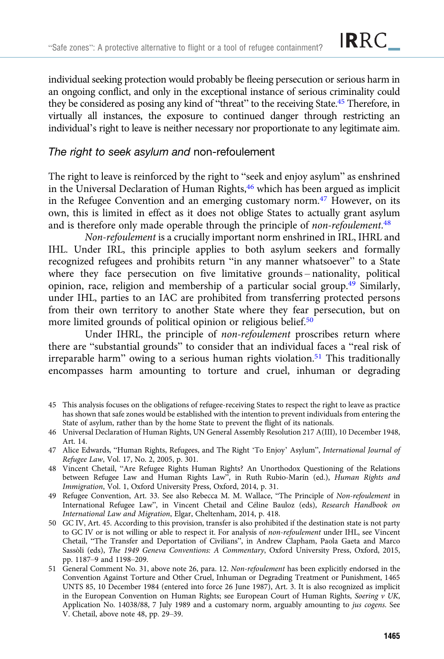individual seeking protection would probably be fleeing persecution or serious harm in an ongoing conflict, and only in the exceptional instance of serious criminality could they be considered as posing any kind of "threat" to the receiving State.45 Therefore, in virtually all instances, the exposure to continued danger through restricting an individual's right to leave is neither necessary nor proportionate to any legitimate aim.

## The right to seek asylum and non-refoulement

The right to leave is reinforced by the right to "seek and enjoy asylum" as enshrined in the Universal Declaration of Human Rights,<sup>46</sup> which has been argued as implicit in the Refugee Convention and an emerging customary norm. $47$  However, on its own, this is limited in effect as it does not oblige States to actually grant asylum and is therefore only made operable through the principle of non-refoulement.<sup>48</sup>

Non-refoulement is a crucially important norm enshrined in IRL, IHRL and IHL. Under IRL, this principle applies to both asylum seekers and formally recognized refugees and prohibits return "in any manner whatsoever" to a State where they face persecution on five limitative grounds – nationality, political opinion, race, religion and membership of a particular social group.49 Similarly, under IHL, parties to an IAC are prohibited from transferring protected persons from their own territory to another State where they fear persecution, but on more limited grounds of political opinion or religious belief.<sup>50</sup>

Under IHRL, the principle of non-refoulement proscribes return where there are "substantial grounds" to consider that an individual faces a "real risk of irreparable harm" owing to a serious human rights violation.<sup>51</sup> This traditionally encompasses harm amounting to torture and cruel, inhuman or degrading

<sup>45</sup> This analysis focuses on the obligations of refugee-receiving States to respect the right to leave as practice has shown that safe zones would be established with the intention to prevent individuals from entering the State of asylum, rather than by the home State to prevent the flight of its nationals.

<sup>46</sup> Universal Declaration of Human Rights, UN General Assembly Resolution 217 A(III), 10 December 1948, Art. 14.

<sup>47</sup> Alice Edwards, "Human Rights, Refugees, and The Right 'To Enjoy' Asylum", International Journal of Refugee Law, Vol. 17, No. 2, 2005, p. 301.

<sup>48</sup> Vincent Chetail, "Are Refugee Rights Human Rights? An Unorthodox Questioning of the Relations between Refugee Law and Human Rights Law", in Ruth Rubio-Marín (ed.), Human Rights and Immigration, Vol. 1, Oxford University Press, Oxford, 2014, p. 31.

<sup>49</sup> Refugee Convention, Art. 33. See also Rebecca M. M. Wallace, "The Principle of Non-refoulement in International Refugee Law", in Vincent Chetail and Céline Bauloz (eds), Research Handbook on International Law and Migration, Elgar, Cheltenham, 2014, p. 418.

<sup>50</sup> GC IV, Art. 45. According to this provision, transfer is also prohibited if the destination state is not party to GC IV or is not willing or able to respect it. For analysis of non-refoulement under IHL, see Vincent Chetail, "The Transfer and Deportation of Civilians", in Andrew Clapham, Paola Gaeta and Marco Sassòli (eds), The 1949 Geneva Conventions: A Commentary, Oxford University Press, Oxford, 2015, pp. 1187–9 and 1198–209.

<sup>51</sup> General Comment No. 31, above note 26, para. 12. Non-refoulement has been explicitly endorsed in the Convention Against Torture and Other Cruel, Inhuman or Degrading Treatment or Punishment, 1465 UNTS 85, 10 December 1984 (entered into force 26 June 1987), Art. 3. It is also recognized as implicit in the European Convention on Human Rights; see European Court of Human Rights, Soering v UK, Application No. 14038/88, 7 July 1989 and a customary norm, arguably amounting to jus cogens. See V. Chetail, above note 48, pp. 29–39.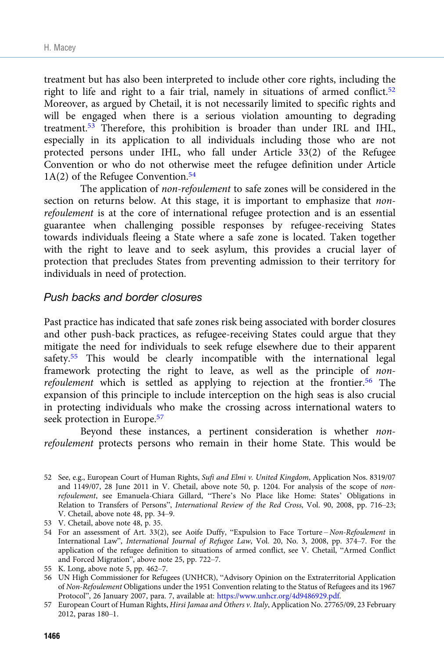treatment but has also been interpreted to include other core rights, including the right to life and right to a fair trial, namely in situations of armed conflict.<sup>52</sup> Moreover, as argued by Chetail, it is not necessarily limited to specific rights and will be engaged when there is a serious violation amounting to degrading treatment.<sup>53</sup> Therefore, this prohibition is broader than under IRL and IHL, especially in its application to all individuals including those who are not protected persons under IHL, who fall under Article 33(2) of the Refugee Convention or who do not otherwise meet the refugee definition under Article  $1A(2)$  of the Refugee Convention.<sup>54</sup>

The application of non-refoulement to safe zones will be considered in the section on returns below. At this stage, it is important to emphasize that *non*refoulement is at the core of international refugee protection and is an essential guarantee when challenging possible responses by refugee-receiving States towards individuals fleeing a State where a safe zone is located. Taken together with the right to leave and to seek asylum, this provides a crucial layer of protection that precludes States from preventing admission to their territory for individuals in need of protection.

#### Push backs and border closures

Past practice has indicated that safe zones risk being associated with border closures and other push-back practices, as refugee-receiving States could argue that they mitigate the need for individuals to seek refuge elsewhere due to their apparent safety.55 This would be clearly incompatible with the international legal framework protecting the right to leave, as well as the principle of nonrefoulement which is settled as applying to rejection at the frontier.<sup>56</sup> The expansion of this principle to include interception on the high seas is also crucial in protecting individuals who make the crossing across international waters to seek protection in Europe.<sup>57</sup>

Beyond these instances, a pertinent consideration is whether nonrefoulement protects persons who remain in their home State. This would be

<sup>52</sup> See, e.g., European Court of Human Rights, Sufi and Elmi v. United Kingdom, Application Nos. 8319/07 and 1149/07, 28 June 2011 in V. Chetail, above note 50, p. 1204. For analysis of the scope of nonrefoulement, see Emanuela-Chiara Gillard, "There's No Place like Home: States' Obligations in Relation to Transfers of Persons", International Review of the Red Cross, Vol. 90, 2008, pp. 716–23; V. Chetail, above note 48, pp. 34–9.

<sup>53</sup> V. Chetail, above note 48, p. 35.

<sup>54</sup> For an assessment of Art. 33(2), see Aoife Duffy, "Expulsion to Face Torture – Non-Refoulement in International Law", International Journal of Refugee Law, Vol. 20, No. 3, 2008, pp. 374–7. For the application of the refugee definition to situations of armed conflict, see V. Chetail, "Armed Conflict and Forced Migration", above note 25, pp. 722–7.

<sup>55</sup> K. Long, above note 5, pp. 462–7.

<sup>56</sup> UN High Commissioner for Refugees (UNHCR), "Advisory Opinion on the Extraterritorial Application of Non-Refoulement Obligations under the 1951 Convention relating to the Status of Refugees and its 1967 Protocol", 26 January 2007, para. 7, available at: [https://www.unhcr.org/4d9486929.pdf.](https://www.unhcr.org/4d9486929.pdf)

<sup>57</sup> European Court of Human Rights, Hirsi Jamaa and Others v. Italy, Application No. 27765/09, 23 February 2012, paras 180–1.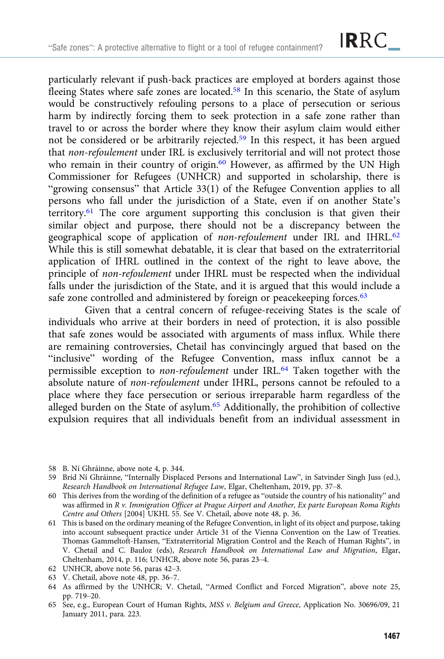particularly relevant if push-back practices are employed at borders against those fleeing States where safe zones are located.<sup>58</sup> In this scenario, the State of asylum would be constructively refouling persons to a place of persecution or serious harm by indirectly forcing them to seek protection in a safe zone rather than travel to or across the border where they know their asylum claim would either not be considered or be arbitrarily rejected.<sup>59</sup> In this respect, it has been argued that non-refoulement under IRL is exclusively territorial and will not protect those who remain in their country of origin.<sup>60</sup> However, as affirmed by the UN High Commissioner for Refugees (UNHCR) and supported in scholarship, there is "growing consensus" that Article 33(1) of the Refugee Convention applies to all persons who fall under the jurisdiction of a State, even if on another State's territory.61 The core argument supporting this conclusion is that given their similar object and purpose, there should not be a discrepancy between the geographical scope of application of *non-refoulement* under IRL and IHRL.<sup>62</sup> While this is still somewhat debatable, it is clear that based on the extraterritorial application of IHRL outlined in the context of the right to leave above, the principle of non-refoulement under IHRL must be respected when the individual falls under the jurisdiction of the State, and it is argued that this would include a safe zone controlled and administered by foreign or peacekeeping forces.<sup>63</sup>

Given that a central concern of refugee-receiving States is the scale of individuals who arrive at their borders in need of protection, it is also possible that safe zones would be associated with arguments of mass influx. While there are remaining controversies, Chetail has convincingly argued that based on the "inclusive" wording of the Refugee Convention, mass influx cannot be a permissible exception to non-refoulement under IRL.64 Taken together with the absolute nature of non-refoulement under IHRL, persons cannot be refouled to a place where they face persecution or serious irreparable harm regardless of the alleged burden on the State of asylum.65 Additionally, the prohibition of collective expulsion requires that all individuals benefit from an individual assessment in

- 58 B. Ní Ghráinne, above note 4, p. 344.
- 59 Bríd Ní Ghráinne, "Internally Displaced Persons and International Law", in Satvinder Singh Juss (ed.), Research Handbook on International Refugee Law, Elgar, Cheltenham, 2019, pp. 37–8.
- 60 This derives from the wording of the definition of a refugee as "outside the country of his nationality" and was affirmed in R v. Immigration Officer at Prague Airport and Another, Ex parte European Roma Rights Centre and Others [2004] UKHL 55. See V. Chetail, above note 48, p. 36.
- 61 This is based on the ordinary meaning of the Refugee Convention, in light of its object and purpose, taking into account subsequent practice under Article 31 of the Vienna Convention on the Law of Treaties. Thomas Gammeltoft-Hansen, "Extraterritorial Migration Control and the Reach of Human Rights", in V. Chetail and C. Bauloz (eds), Research Handbook on International Law and Migration, Elgar, Cheltenham, 2014, p. 116; UNHCR, above note 56, paras 23–4.
- 62 UNHCR, above note 56, paras 42–3.
- 63 V. Chetail, above note 48, pp. 36–7.
- 64 As affirmed by the UNHCR; V. Chetail, "Armed Conflict and Forced Migration", above note 25, pp. 719–20.
- 65 See, e.g., European Court of Human Rights, MSS v. Belgium and Greece, Application No. 30696/09, 21 January 2011, para. 223.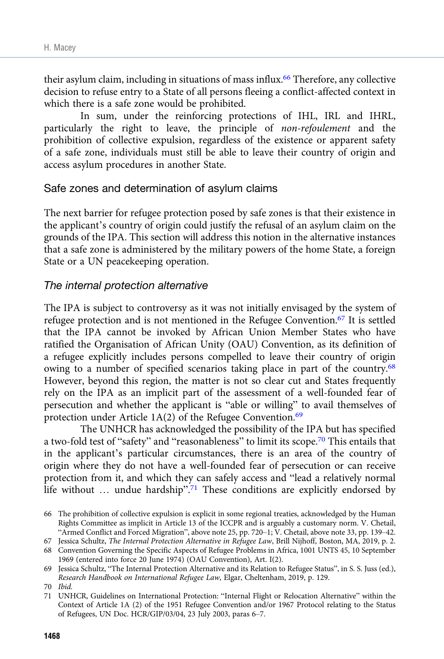their asylum claim, including in situations of mass influx.<sup>66</sup> Therefore, any collective decision to refuse entry to a State of all persons fleeing a conflict-affected context in which there is a safe zone would be prohibited.

In sum, under the reinforcing protections of IHL, IRL and IHRL, particularly the right to leave, the principle of non-refoulement and the prohibition of collective expulsion, regardless of the existence or apparent safety of a safe zone, individuals must still be able to leave their country of origin and access asylum procedures in another State.

#### Safe zones and determination of asylum claims

The next barrier for refugee protection posed by safe zones is that their existence in the applicant's country of origin could justify the refusal of an asylum claim on the grounds of the IPA. This section will address this notion in the alternative instances that a safe zone is administered by the military powers of the home State, a foreign State or a UN peacekeeping operation.

## The internal protection alternative

The IPA is subject to controversy as it was not initially envisaged by the system of refugee protection and is not mentioned in the Refugee Convention.<sup>67</sup> It is settled that the IPA cannot be invoked by African Union Member States who have ratified the Organisation of African Unity (OAU) Convention, as its definition of a refugee explicitly includes persons compelled to leave their country of origin owing to a number of specified scenarios taking place in part of the country.68 However, beyond this region, the matter is not so clear cut and States frequently rely on the IPA as an implicit part of the assessment of a well-founded fear of persecution and whether the applicant is "able or willing" to avail themselves of protection under Article  $1A(2)$  of the Refugee Convention.<sup>69</sup>

The UNHCR has acknowledged the possibility of the IPA but has specified a two-fold test of "safety" and "reasonableness" to limit its scope.<sup>70</sup> This entails that in the applicant's particular circumstances, there is an area of the country of origin where they do not have a well-founded fear of persecution or can receive protection from it, and which they can safely access and "lead a relatively normal life without ... undue hardship".<sup>71</sup> These conditions are explicitly endorsed by

<sup>66</sup> The prohibition of collective expulsion is explicit in some regional treaties, acknowledged by the Human Rights Committee as implicit in Article 13 of the ICCPR and is arguably a customary norm. V. Chetail, "Armed Conflict and Forced Migration", above note 25, pp. 720–1; V. Chetail, above note 33, pp. 139–42.

<sup>67</sup> Jessica Schultz, The Internal Protection Alternative in Refugee Law, Brill Nijhoff, Boston, MA, 2019, p. 2.

<sup>68</sup> Convention Governing the Specific Aspects of Refugee Problems in Africa, 1001 UNTS 45, 10 September 1969 (entered into force 20 June 1974) (OAU Convention), Art. I(2).

<sup>69</sup> Jessica Schultz, "The Internal Protection Alternative and its Relation to Refugee Status", in S. S. Juss (ed.), Research Handbook on International Refugee Law, Elgar, Cheltenham, 2019, p. 129.

<sup>70</sup> Ibid.

<sup>71</sup> UNHCR, Guidelines on International Protection: "Internal Flight or Relocation Alternative" within the Context of Article 1A (2) of the 1951 Refugee Convention and/or 1967 Protocol relating to the Status of Refugees, UN Doc. HCR/GIP/03/04, 23 July 2003, paras 6–7.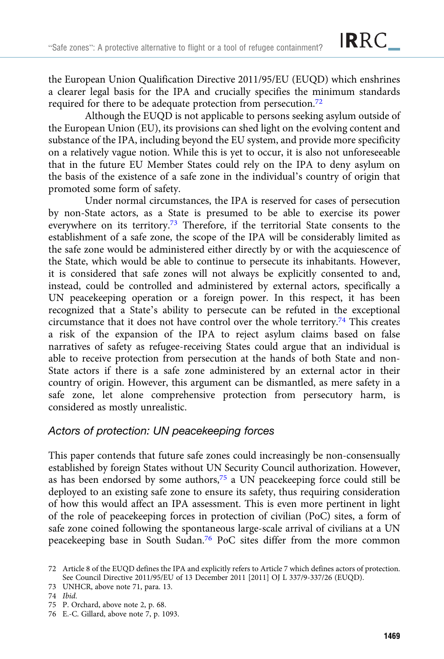the European Union Qualification Directive 2011/95/EU (EUQD) which enshrines a clearer legal basis for the IPA and crucially specifies the minimum standards required for there to be adequate protection from persecution.<sup>72</sup>

Although the EUQD is not applicable to persons seeking asylum outside of the European Union (EU), its provisions can shed light on the evolving content and substance of the IPA, including beyond the EU system, and provide more specificity on a relatively vague notion. While this is yet to occur, it is also not unforeseeable that in the future EU Member States could rely on the IPA to deny asylum on the basis of the existence of a safe zone in the individual's country of origin that promoted some form of safety.

Under normal circumstances, the IPA is reserved for cases of persecution by non-State actors, as a State is presumed to be able to exercise its power everywhere on its territory.73 Therefore, if the territorial State consents to the establishment of a safe zone, the scope of the IPA will be considerably limited as the safe zone would be administered either directly by or with the acquiescence of the State, which would be able to continue to persecute its inhabitants. However, it is considered that safe zones will not always be explicitly consented to and, instead, could be controlled and administered by external actors, specifically a UN peacekeeping operation or a foreign power. In this respect, it has been recognized that a State's ability to persecute can be refuted in the exceptional circumstance that it does not have control over the whole territory.<sup>74</sup> This creates a risk of the expansion of the IPA to reject asylum claims based on false narratives of safety as refugee-receiving States could argue that an individual is able to receive protection from persecution at the hands of both State and non-State actors if there is a safe zone administered by an external actor in their country of origin. However, this argument can be dismantled, as mere safety in a safe zone, let alone comprehensive protection from persecutory harm, is considered as mostly unrealistic.

## Actors of protection: UN peacekeeping forces

This paper contends that future safe zones could increasingly be non-consensually established by foreign States without UN Security Council authorization. However, as has been endorsed by some authors, $75$  a UN peacekeeping force could still be deployed to an existing safe zone to ensure its safety, thus requiring consideration of how this would affect an IPA assessment. This is even more pertinent in light of the role of peacekeeping forces in protection of civilian (PoC) sites, a form of safe zone coined following the spontaneous large-scale arrival of civilians at a UN peacekeeping base in South Sudan.76 PoC sites differ from the more common

<sup>72</sup> Article 8 of the EUQD defines the IPA and explicitly refers to Article 7 which defines actors of protection. See Council Directive 2011/95/EU of 13 December 2011 [2011] OJ L 337/9-337/26 (EUQD).

<sup>73</sup> UNHCR, above note 71, para. 13.

<sup>74</sup> Ibid.

<sup>75</sup> P. Orchard, above note 2, p. 68.

<sup>76</sup> E.-C. Gillard, above note 7, p. 1093.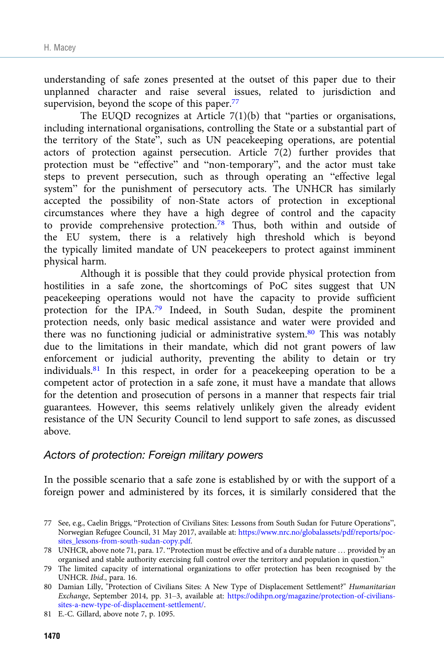understanding of safe zones presented at the outset of this paper due to their unplanned character and raise several issues, related to jurisdiction and supervision, beyond the scope of this paper.<sup>77</sup>

The EUQD recognizes at Article 7(1)(b) that "parties or organisations, including international organisations, controlling the State or a substantial part of the territory of the State", such as UN peacekeeping operations, are potential actors of protection against persecution. Article 7(2) further provides that protection must be "effective" and "non-temporary", and the actor must take steps to prevent persecution, such as through operating an "effective legal system" for the punishment of persecutory acts. The UNHCR has similarly accepted the possibility of non-State actors of protection in exceptional circumstances where they have a high degree of control and the capacity to provide comprehensive protection.78 Thus, both within and outside of the EU system, there is a relatively high threshold which is beyond the typically limited mandate of UN peacekeepers to protect against imminent physical harm.

Although it is possible that they could provide physical protection from hostilities in a safe zone, the shortcomings of PoC sites suggest that UN peacekeeping operations would not have the capacity to provide sufficient protection for the IPA.79 Indeed, in South Sudan, despite the prominent protection needs, only basic medical assistance and water were provided and there was no functioning judicial or administrative system.<sup>80</sup> This was notably due to the limitations in their mandate, which did not grant powers of law enforcement or judicial authority, preventing the ability to detain or try individuals.81 In this respect, in order for a peacekeeping operation to be a competent actor of protection in a safe zone, it must have a mandate that allows for the detention and prosecution of persons in a manner that respects fair trial guarantees. However, this seems relatively unlikely given the already evident resistance of the UN Security Council to lend support to safe zones, as discussed above.

### Actors of protection: Foreign military powers

In the possible scenario that a safe zone is established by or with the support of a foreign power and administered by its forces, it is similarly considered that the

<sup>77</sup> See, e.g., Caelin Briggs, "Protection of Civilians Sites: Lessons from South Sudan for Future Operations", Norwegian Refugee Council, 31 May 2017, available at: [https://www.nrc.no/globalassets/pdf/reports/poc](https://www.nrc.no/globalassets/pdf/reports/poc-sites_lessons-from-south-sudan-copy.pdf)[sites\\_lessons-from-south-sudan-copy.pdf.](https://www.nrc.no/globalassets/pdf/reports/poc-sites_lessons-from-south-sudan-copy.pdf)

<sup>78</sup> UNHCR, above note 71, para. 17. "Protection must be effective and of a durable nature … provided by an organised and stable authority exercising full control over the territory and population in question."

<sup>79</sup> The limited capacity of international organizations to offer protection has been recognised by the UNHCR. Ibid., para. 16.

<sup>80</sup> Damian Lilly, "Protection of Civilians Sites: A New Type of Displacement Settlement?" Humanitarian Exchange, September 2014, pp. 31–3, available at: [https://odihpn.org/magazine/protection-of-civilians](https://odihpn.org/magazine/protection-of-civilians-sites-a-new-type-of-displacement-settlement/)[sites-a-new-type-of-displacement-settlement/.](https://odihpn.org/magazine/protection-of-civilians-sites-a-new-type-of-displacement-settlement/)

<sup>81</sup> E.-C. Gillard, above note 7, p. 1095.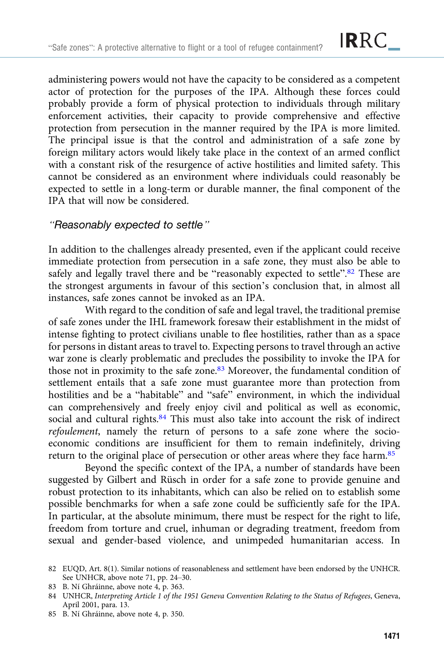administering powers would not have the capacity to be considered as a competent actor of protection for the purposes of the IPA. Although these forces could probably provide a form of physical protection to individuals through military enforcement activities, their capacity to provide comprehensive and effective protection from persecution in the manner required by the IPA is more limited. The principal issue is that the control and administration of a safe zone by foreign military actors would likely take place in the context of an armed conflict with a constant risk of the resurgence of active hostilities and limited safety. This cannot be considered as an environment where individuals could reasonably be expected to settle in a long-term or durable manner, the final component of the

## IPA that will now be considered.

## "Reasonably expected to settle"

In addition to the challenges already presented, even if the applicant could receive immediate protection from persecution in a safe zone, they must also be able to safely and legally travel there and be "reasonably expected to settle".<sup>82</sup> These are the strongest arguments in favour of this section's conclusion that, in almost all instances, safe zones cannot be invoked as an IPA.

With regard to the condition of safe and legal travel, the traditional premise of safe zones under the IHL framework foresaw their establishment in the midst of intense fighting to protect civilians unable to flee hostilities, rather than as a space for persons in distant areas to travel to. Expecting persons to travel through an active war zone is clearly problematic and precludes the possibility to invoke the IPA for those not in proximity to the safe zone.<sup>83</sup> Moreover, the fundamental condition of settlement entails that a safe zone must guarantee more than protection from hostilities and be a "habitable" and "safe" environment, in which the individual can comprehensively and freely enjoy civil and political as well as economic, social and cultural rights.<sup>84</sup> This must also take into account the risk of indirect refoulement, namely the return of persons to a safe zone where the socioeconomic conditions are insufficient for them to remain indefinitely, driving return to the original place of persecution or other areas where they face harm.<sup>85</sup>

Beyond the specific context of the IPA, a number of standards have been suggested by Gilbert and Rüsch in order for a safe zone to provide genuine and robust protection to its inhabitants, which can also be relied on to establish some possible benchmarks for when a safe zone could be sufficiently safe for the IPA. In particular, at the absolute minimum, there must be respect for the right to life, freedom from torture and cruel, inhuman or degrading treatment, freedom from sexual and gender-based violence, and unimpeded humanitarian access. In

83 B. Ní Ghráinne, above note 4, p. 363.

85 B. Ní Ghráinne, above note 4, p. 350.

**IRRC** 

<sup>82</sup> EUQD, Art. 8(1). Similar notions of reasonableness and settlement have been endorsed by the UNHCR. See UNHCR, above note 71, pp. 24–30.

<sup>84</sup> UNHCR, Interpreting Article 1 of the 1951 Geneva Convention Relating to the Status of Refugees, Geneva, April 2001, para. 13.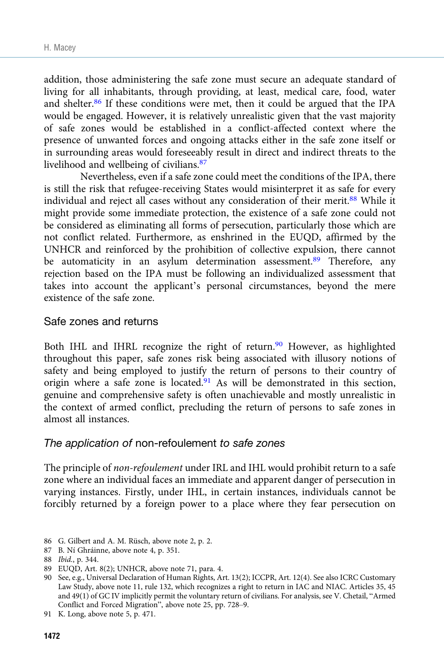addition, those administering the safe zone must secure an adequate standard of living for all inhabitants, through providing, at least, medical care, food, water and shelter.<sup>86</sup> If these conditions were met, then it could be argued that the IPA would be engaged. However, it is relatively unrealistic given that the vast majority of safe zones would be established in a conflict-affected context where the presence of unwanted forces and ongoing attacks either in the safe zone itself or in surrounding areas would foreseeably result in direct and indirect threats to the livelihood and wellbeing of civilians.87

Nevertheless, even if a safe zone could meet the conditions of the IPA, there is still the risk that refugee-receiving States would misinterpret it as safe for every individual and reject all cases without any consideration of their merit.<sup>88</sup> While it might provide some immediate protection, the existence of a safe zone could not be considered as eliminating all forms of persecution, particularly those which are not conflict related. Furthermore, as enshrined in the EUQD, affirmed by the UNHCR and reinforced by the prohibition of collective expulsion, there cannot be automaticity in an asylum determination assessment.<sup>89</sup> Therefore, any rejection based on the IPA must be following an individualized assessment that takes into account the applicant's personal circumstances, beyond the mere existence of the safe zone.

#### Safe zones and returns

Both IHL and IHRL recognize the right of return.<sup>90</sup> However, as highlighted throughout this paper, safe zones risk being associated with illusory notions of safety and being employed to justify the return of persons to their country of origin where a safe zone is located.<sup>91</sup> As will be demonstrated in this section, genuine and comprehensive safety is often unachievable and mostly unrealistic in the context of armed conflict, precluding the return of persons to safe zones in almost all instances.

#### The application of non-refoulement to safe zones

The principle of non-refoulement under IRL and IHL would prohibit return to a safe zone where an individual faces an immediate and apparent danger of persecution in varying instances. Firstly, under IHL, in certain instances, individuals cannot be forcibly returned by a foreign power to a place where they fear persecution on

- 86 G. Gilbert and A. M. Rüsch, above note 2, p. 2.
- 87 B. Ní Ghráinne, above note 4, p. 351.

89 EUQD, Art. 8(2); UNHCR, above note 71, para. 4.

<sup>88</sup> Ibid., p. 344.

<sup>90</sup> See, e.g., Universal Declaration of Human Rights, Art. 13(2); ICCPR, Art. 12(4). See also ICRC Customary Law Study, above note 11, rule 132, which recognizes a right to return in IAC and NIAC. Articles 35, 45 and 49(1) of GC IV implicitly permit the voluntary return of civilians. For analysis, see V. Chetail, "Armed Conflict and Forced Migration", above note 25, pp. 728–9.

<sup>91</sup> K. Long, above note 5, p. 471.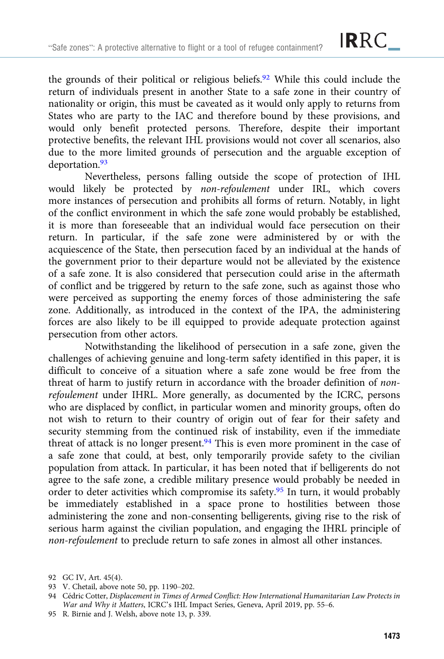the grounds of their political or religious beliefs.<sup>92</sup> While this could include the return of individuals present in another State to a safe zone in their country of nationality or origin, this must be caveated as it would only apply to returns from States who are party to the IAC and therefore bound by these provisions, and would only benefit protected persons. Therefore, despite their important protective benefits, the relevant IHL provisions would not cover all scenarios, also due to the more limited grounds of persecution and the arguable exception of deportation.<sup>93</sup>

Nevertheless, persons falling outside the scope of protection of IHL would likely be protected by non-refoulement under IRL, which covers more instances of persecution and prohibits all forms of return. Notably, in light of the conflict environment in which the safe zone would probably be established, it is more than foreseeable that an individual would face persecution on their return. In particular, if the safe zone were administered by or with the acquiescence of the State, then persecution faced by an individual at the hands of the government prior to their departure would not be alleviated by the existence of a safe zone. It is also considered that persecution could arise in the aftermath of conflict and be triggered by return to the safe zone, such as against those who were perceived as supporting the enemy forces of those administering the safe zone. Additionally, as introduced in the context of the IPA, the administering forces are also likely to be ill equipped to provide adequate protection against persecution from other actors.

Notwithstanding the likelihood of persecution in a safe zone, given the challenges of achieving genuine and long-term safety identified in this paper, it is difficult to conceive of a situation where a safe zone would be free from the threat of harm to justify return in accordance with the broader definition of nonrefoulement under IHRL. More generally, as documented by the ICRC, persons who are displaced by conflict, in particular women and minority groups, often do not wish to return to their country of origin out of fear for their safety and security stemming from the continued risk of instability, even if the immediate threat of attack is no longer present.<sup>94</sup> This is even more prominent in the case of a safe zone that could, at best, only temporarily provide safety to the civilian population from attack. In particular, it has been noted that if belligerents do not agree to the safe zone, a credible military presence would probably be needed in order to deter activities which compromise its safety.95 In turn, it would probably be immediately established in a space prone to hostilities between those administering the zone and non-consenting belligerents, giving rise to the risk of serious harm against the civilian population, and engaging the IHRL principle of non-refoulement to preclude return to safe zones in almost all other instances.

93 V. Chetail, above note 50, pp. 1190–202.

95 R. Birnie and J. Welsh, above note 13, p. 339.

<sup>92</sup> GC IV, Art. 45(4).

<sup>94</sup> Cédric Cotter, Displacement in Times of Armed Conflict: How International Humanitarian Law Protects in War and Why it Matters, ICRC's IHL Impact Series, Geneva, April 2019, pp. 55–6.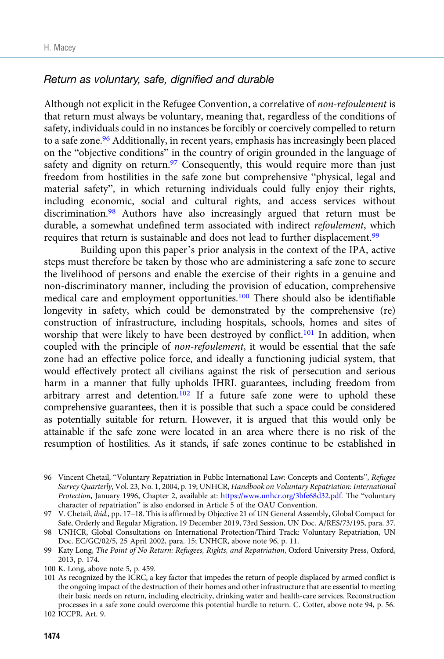#### Return as voluntary, safe, dignified and durable

Although not explicit in the Refugee Convention, a correlative of non-refoulement is that return must always be voluntary, meaning that, regardless of the conditions of safety, individuals could in no instances be forcibly or coercively compelled to return to a safe zone.<sup>96</sup> Additionally, in recent years, emphasis has increasingly been placed on the "objective conditions" in the country of origin grounded in the language of safety and dignity on return.<sup>97</sup> Consequently, this would require more than just freedom from hostilities in the safe zone but comprehensive "physical, legal and material safety", in which returning individuals could fully enjoy their rights, including economic, social and cultural rights, and access services without discrimination.98 Authors have also increasingly argued that return must be durable, a somewhat undefined term associated with indirect refoulement, which requires that return is sustainable and does not lead to further displacement.<sup>99</sup>

Building upon this paper's prior analysis in the context of the IPA, active steps must therefore be taken by those who are administering a safe zone to secure the livelihood of persons and enable the exercise of their rights in a genuine and non-discriminatory manner, including the provision of education, comprehensive medical care and employment opportunities.100 There should also be identifiable longevity in safety, which could be demonstrated by the comprehensive (re) construction of infrastructure, including hospitals, schools, homes and sites of worship that were likely to have been destroyed by conflict.<sup>101</sup> In addition, when coupled with the principle of non-refoulement, it would be essential that the safe zone had an effective police force, and ideally a functioning judicial system, that would effectively protect all civilians against the risk of persecution and serious harm in a manner that fully upholds IHRL guarantees, including freedom from arbitrary arrest and detention.<sup>102</sup> If a future safe zone were to uphold these comprehensive guarantees, then it is possible that such a space could be considered as potentially suitable for return. However, it is argued that this would only be attainable if the safe zone were located in an area where there is no risk of the resumption of hostilities. As it stands, if safe zones continue to be established in

- 99 Katy Long, The Point of No Return: Refugees, Rights, and Repatriation, Oxford University Press, Oxford, 2013, p. 174.
- 100 K. Long, above note 5, p. 459.

<sup>96</sup> Vincent Chetail, "Voluntary Repatriation in Public International Law: Concepts and Contents", Refugee Survey Quarterly, Vol. 23, No. 1, 2004, p. 19; UNHCR, Handbook on Voluntary Repatriation: International Protection, January 1996, Chapter 2, available at: [https://www.unhcr.org/3bfe68d32.pdf.](https://www.unhcr.org/3bfe68d32.pdf) The "voluntary character of repatriation" is also endorsed in Article 5 of the OAU Convention.

<sup>97</sup> V. Chetail, ibid., pp. 17-18. This is affirmed by Objective 21 of UN General Assembly, Global Compact for Safe, Orderly and Regular Migration, 19 December 2019, 73rd Session, UN Doc. A/RES/73/195, para. 37.

<sup>98</sup> UNHCR, Global Consultations on International Protection/Third Track: Voluntary Repatriation, UN Doc. EC/GC/02/5, 25 April 2002, para. 15; UNHCR, above note 96, p. 11.

<sup>101</sup> As recognized by the ICRC, a key factor that impedes the return of people displaced by armed conflict is the ongoing impact of the destruction of their homes and other infrastructure that are essential to meeting their basic needs on return, including electricity, drinking water and health-care services. Reconstruction processes in a safe zone could overcome this potential hurdle to return. C. Cotter, above note 94, p. 56.

<sup>102</sup> ICCPR, Art. 9.